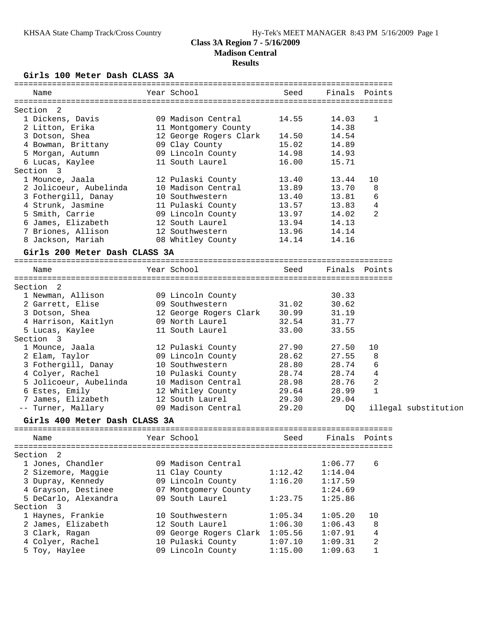## **Girls 100 Meter Dash CLASS 3A**

| Name                                | Year School                  | Seed    |         | Finals Points        |
|-------------------------------------|------------------------------|---------|---------|----------------------|
| Section 2                           |                              |         |         |                      |
| 1 Dickens, Davis                    | 09 Madison Central           | 14.55   | 14.03   | 1                    |
| 2 Litton, Erika                     | 11 Montgomery County         |         | 14.38   |                      |
| 3 Dotson, Shea                      | 12 George Rogers Clark 14.50 |         | 14.54   |                      |
| 4 Bowman, Brittany                  | 09 Clay County               | 15.02   | 14.89   |                      |
| 5 Morgan, Autumn                    | 09 Lincoln County            | 14.98   | 14.93   |                      |
| 6 Lucas, Kaylee                     | 11 South Laurel              | 16.00   | 15.71   |                      |
| Section 3                           |                              |         |         |                      |
| 1 Mounce, Jaala                     | 12 Pulaski County            | 13.40   | 13.44   | 10                   |
| 2 Jolicoeur, Aubelinda              | 10 Madison Central           | 13.89   | 13.70   | 8                    |
| 3 Fothergill, Danay                 | 10 Southwestern              | 13.40   | 13.81   | 6                    |
| 4 Strunk, Jasmine                   | 11 Pulaski County            | 13.57   | 13.83   | 4                    |
| 5 Smith, Carrie                     | 09 Lincoln County 13.97      |         | 14.02   | 2                    |
| 6 James, Elizabeth                  | 12 South Laurel              | 13.94   | 14.13   |                      |
| 7 Briones, Allison                  | 12 Southwestern              | 13.96   | 14.14   |                      |
| 8 Jackson, Mariah 68 Whitley County |                              | 14.14   | 14.16   |                      |
|                                     |                              |         |         |                      |
| Girls 200 Meter Dash CLASS 3A       |                              |         |         |                      |
| Name                                | Year School                  | Seed    |         | Finals Points        |
|                                     |                              |         |         |                      |
| Section 2                           |                              |         |         |                      |
| 1 Newman, Allison                   | 09 Lincoln County            |         | 30.33   |                      |
| 2 Garrett, Elise                    | 09 Southwestern              | 31.02   | 30.62   |                      |
| 3 Dotson, Shea                      | 12 George Rogers Clark 30.99 |         | 31.19   |                      |
| 4 Harrison, Kaitlyn                 | 09 North Laurel              | 32.54   | 31.77   |                      |
| 5 Lucas, Kaylee                     | 11 South Laurel              | 33.00   | 33.55   |                      |
| Section 3                           |                              |         |         |                      |
| 1 Mounce, Jaala                     | 12 Pulaski County            | 27.90   | 27.50   | 10                   |
| 2 Elam, Taylor                      | 09 Lincoln County            | 28.62   | 27.55   | 8                    |
| 3 Fothergill, Danay 10 Southwestern |                              | 28.80   | 28.74   | 6                    |
| 4 Colyer, Rachel                    | 10 Pulaski County 28.74      |         | 28.74   | 4                    |
| 5 Jolicoeur, Aubelinda              | 10 Madison Central 28.98     |         | 28.76   | 2                    |
| 6 Estes, Emily                      | 12 Whitley County 29.64      |         | 28.99   | $\mathbf{1}$         |
| 7 James, Elizabeth                  | 12 South Laurel              | 29.30   | 29.04   |                      |
| -- Turner, Mallary                  | 09 Madison Central           | 29.20   | DQ      | illegal substitution |
| Girls 400 Meter Dash CLASS 3A       |                              |         |         |                      |
|                                     |                              |         |         |                      |
| Name                                | Year School                  | Seed    | Finals  | Points               |
| Section 2                           |                              |         |         |                      |
| 1 Jones, Chandler                   | 09 Madison Central           |         | 1:06.77 | 6                    |
| 2 Sizemore, Maggie                  |                              | 1:12.42 | 1:14.04 |                      |
|                                     | 11 Clay County               |         |         |                      |
| 3 Dupray, Kennedy                   | 09 Lincoln County            | 1:16.20 | 1:17.59 |                      |
| 4 Grayson, Destinee                 | 07 Montgomery County         |         | 1:24.69 |                      |
| 5 DeCarlo, Alexandra                | 09 South Laurel              | 1:23.75 | 1:25.86 |                      |
| Section 3                           |                              |         |         |                      |
| 1 Haynes, Frankie                   | 10 Southwestern              | 1:05.34 | 1:05.20 | 10                   |
| 2 James, Elizabeth                  | 12 South Laurel              | 1:06.30 | 1:06.43 | 8                    |
| 3 Clark, Ragan                      | 09 George Rogers Clark       | 1:05.56 | 1:07.91 | 4                    |
| 4 Colyer, Rachel                    | 10 Pulaski County            | 1:07.10 | 1:09.31 | 2                    |
| 5 Toy, Haylee                       | 09 Lincoln County            | 1:15.00 | 1:09.63 | $\mathbf{1}$         |
|                                     |                              |         |         |                      |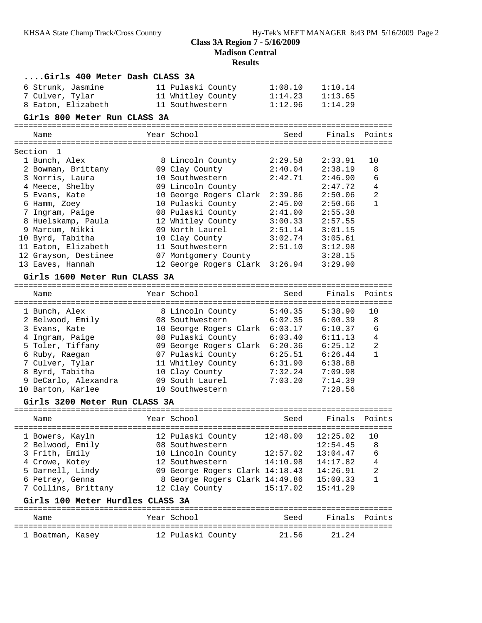**Madison Central**

| Girls 400 Meter Dash CLASS 3A    |                                 |          |          |                |
|----------------------------------|---------------------------------|----------|----------|----------------|
| 6 Strunk, Jasmine                | 11 Pulaski County               | 1:08.10  | 1:10.14  |                |
| 7 Culver, Tylar                  | 11 Whitley County               | 1:14.23  | 1:13.65  |                |
| 8 Eaton, Elizabeth               | 11 Southwestern                 | 1:12.96  | 1:14.29  |                |
| Girls 800 Meter Run CLASS 3A     |                                 |          |          |                |
|                                  |                                 |          |          |                |
| Name                             | Year School                     | Seed     | Finals   | Points         |
| Section<br>1                     |                                 |          |          |                |
| 1 Bunch, Alex                    | 8 Lincoln County                | 2:29.58  | 2:33.91  | 10             |
| 2 Bowman, Brittany               | 09 Clay County                  | 2:40.04  | 2:38.19  | 8              |
| 3 Norris, Laura                  | 10 Southwestern                 | 2:42.71  | 2:46.90  | 6              |
| 4 Meece, Shelby                  | 09 Lincoln County               |          | 2:47.72  | 4              |
| 5 Evans, Kate                    | 10 George Rogers Clark 2:39.86  |          | 2:50.06  | 2              |
| 6 Hamm, Zoey                     | 10 Pulaski County               | 2:45.00  | 2:50.66  | $\mathbf{1}$   |
| 7 Ingram, Paige                  | 08 Pulaski County               | 2:41.00  | 2:55.38  |                |
| 8 Huelskamp, Paula               | 12 Whitley County               | 3:00.33  | 2:57.55  |                |
| 9 Marcum, Nikki                  | 09 North Laurel                 | 2:51.14  | 3:01.15  |                |
| 10 Byrd, Tabitha                 | 10 Clay County                  | 3:02.74  | 3:05.61  |                |
| 11 Eaton, Elizabeth              | 11 Southwestern                 | 2:51.10  | 3:12.98  |                |
| 12 Grayson, Destinee             | 07 Montgomery County            |          | 3:28.15  |                |
| 13 Eaves, Hannah                 | 12 George Rogers Clark 3:26.94  |          | 3:29.90  |                |
| Girls 1600 Meter Run CLASS 3A    |                                 |          |          |                |
|                                  |                                 |          |          |                |
| Name                             | Year School                     | Seed     | Finals   | Points         |
|                                  |                                 |          |          |                |
| 1 Bunch, Alex                    | 8 Lincoln County                | 5:40.35  | 5:38.90  | 10             |
| 2 Belwood, Emily                 | 08 Southwestern                 | 6:02.35  | 6:00.39  | 8              |
| 3 Evans, Kate                    | 10 George Rogers Clark 6:03.17  |          | 6:10.37  | 6              |
| 4 Ingram, Paige                  | 08 Pulaski County               | 6:03.40  | 6:11.13  | 4              |
| 5 Toler, Tiffany                 | 09 George Rogers Clark 6:20.36  |          | 6:25.12  | $\overline{c}$ |
| 6 Ruby, Raegan                   | 07 Pulaski County               | 6:25.51  | 6:26.44  | $\mathbf{1}$   |
| 7 Culver, Tylar                  | 11 Whitley County               | 6:31.90  | 6:38.88  |                |
| 8 Byrd, Tabitha                  | 10 Clay County                  | 7:32.24  | 7:09.98  |                |
| 9 DeCarlo, Alexandra             | 09 South Laurel                 | 7:03.20  | 7:14.39  |                |
| 10 Barton, Karlee                | 10 Southwestern                 |          | 7:28.56  |                |
| Girls 3200 Meter Run CLASS 3A    |                                 |          |          |                |
|                                  |                                 |          |          |                |
| Name                             | Year School                     | Seed     | Finals   | Points         |
| 1 Bowers, Kayln                  | 12 Pulaski County               | 12:48.00 | 12:25.02 | 10             |
| 2 Belwood, Emily                 | 08 Southwestern                 |          | 12:54.45 | 8              |
| 3 Frith, Emily                   | 10 Lincoln County               | 12:57.02 | 13:04.47 | 6              |
| 4 Crowe, Kotey                   | 12 Southwestern                 | 14:10.98 | 14:17.82 | $\overline{4}$ |
| 5 Darnell, Lindy                 | 09 George Rogers Clark 14:18.43 |          | 14:26.91 | $\sqrt{2}$     |
| 6 Petrey, Genna                  | 8 George Rogers Clark 14:49.86  |          | 15:00.33 | 1              |
| 7 Collins, Brittany              | 12 Clay County                  | 15:17.02 | 15:41.29 |                |
| Girls 100 Meter Hurdles CLASS 3A |                                 |          |          |                |
|                                  |                                 |          |          |                |
| Name                             | Year School                     | Seed     | Finals   | Points         |
| 1 Boatman, Kasey                 | 12 Pulaski County               | 21.56    | 21.24    |                |
|                                  |                                 |          |          |                |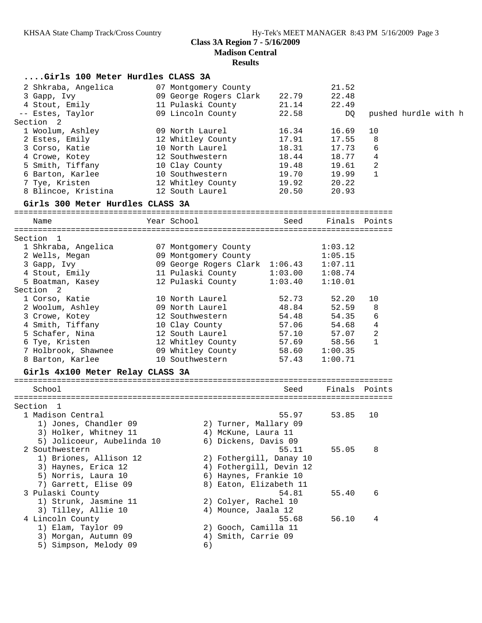| Girls 100 Meter Hurdles CLASS 3A           |                                                                                                   |                |                            |               |                      |
|--------------------------------------------|---------------------------------------------------------------------------------------------------|----------------|----------------------------|---------------|----------------------|
| 2 Shkraba, Angelica                        | 07 Montgomery County                                                                              |                | 21.52                      |               |                      |
| 3 Gapp, Ivy                                | 09 George Rogers Clark                                                                            | 22.79          | 22.48                      |               |                      |
| 4 Stout, Emily                             | 11 Pulaski County                                                                                 | 21.14          | 22.49                      |               |                      |
| -- Estes, Taylor                           | 09 Lincoln County                                                                                 | 22.58          | DQ                         |               | pushed hurdle with h |
| Section 2                                  |                                                                                                   |                |                            |               |                      |
| 1 Woolum, Ashley                           | 09 North Laurel                                                                                   | 16.34          | 16.69                      | 10            |                      |
| 2 Estes, Emily 12 Whitley County           |                                                                                                   | 17.91          | 17.55                      | 8             |                      |
| 3 Corso, Katie                             | 10 North Laurel                                                                                   | 18.31          | 17.73                      | 6             |                      |
| 4 Crowe, Kotey                             | 12 Southwestern                                                                                   | 18.44          | 18.77                      | 4             |                      |
| 5 Smith, Tiffany                           | 10 Clay County                                                                                    | 19.48          | 19.61                      | 2             |                      |
| 6 Barton, Karlee $10$ Southwestern $19.70$ |                                                                                                   |                | 19.99                      | 1             |                      |
| 7 Tye, Kristen                             | 12 Whitley County 19.92                                                                           |                | 20.22                      |               |                      |
|                                            |                                                                                                   |                | 20.93                      |               |                      |
| Girls 300 Meter Hurdles CLASS 3A           |                                                                                                   |                |                            |               |                      |
| Name                                       | Year School                                                                                       | Seed           |                            | Finals Points |                      |
|                                            |                                                                                                   |                |                            |               |                      |
| Section 1                                  |                                                                                                   |                |                            |               |                      |
| 1 Shkraba, Angelica                        | 07 Montgomery County                                                                              |                | 1:03.12                    |               |                      |
| 2 Wells, Megan                             | 09 Montgomery County                                                                              |                | 1:05.15                    |               |                      |
| 3 Gapp, Ivy                                | 09 George Rogers Clark 1:06.43                                                                    |                | 1:07.11                    |               |                      |
| 4 Stout, Emily                             | 11 Pulaski County 1:03.00                                                                         |                | 1:08.74                    |               |                      |
| 5 Boatman, Kasey                           | 12 Pulaski County                                                                                 | 1:03.40        | 1:10.01                    |               |                      |
| Section <sub>2</sub>                       |                                                                                                   |                |                            |               |                      |
| 1 Corso, Katie                             | 10 North Laurel                                                                                   | 52.73<br>48.84 | 52.20                      | 10            |                      |
| 2 Woolum, Ashley                           | 09 North Laurel                                                                                   |                | 52.59<br>54.48 54.35       | 8             |                      |
| 3 Crowe, Kotey                             | 12 Southwestern                                                                                   |                |                            | 6             |                      |
| 4 Smith, Tiffany 10 Clay County            |                                                                                                   |                | 57.06 54.68<br>57.10 57.07 | 4<br>2        |                      |
|                                            |                                                                                                   |                |                            | 1             |                      |
| 6 Tye, Kristen<br>7 Holbrook, Shawnee      |                                                                                                   |                | 58.56                      |               |                      |
| 8 Barton, Karlee                           | 12 Whitley County 57.69 58.56<br>09 Whitley County 58.60 1:00.35<br>10 Southwestern 57.43 1:00.71 |                |                            |               |                      |
|                                            |                                                                                                   |                |                            |               |                      |
| Girls 4x100 Meter Relay CLASS 3A           |                                                                                                   |                |                            |               |                      |
| School                                     |                                                                                                   | Seed           | Finals Points              |               |                      |
|                                            |                                                                                                   |                |                            |               |                      |
| Section 1                                  |                                                                                                   |                |                            |               |                      |
| 1 Madison Central                          |                                                                                                   | 55.97          | 53.85                      | 10            |                      |
| 1) Jones, Chandler 09                      | 2) Turner, Mallary 09                                                                             |                |                            |               |                      |
| 3) Holker, Whitney 11                      | 4) McKune, Laura 11                                                                               |                |                            |               |                      |
| 5) Jolicoeur, Aubelinda 10                 | 6) Dickens, Davis 09                                                                              |                |                            |               |                      |
| 2 Southwestern                             |                                                                                                   | 55.11          | 55.05                      | 8             |                      |
| 1) Briones, Allison 12                     | 2) Fothergill, Danay 10                                                                           |                |                            |               |                      |
| 3) Haynes, Erica 12                        | 4) Fothergill, Devin 12                                                                           |                |                            |               |                      |
| 5) Norris, Laura 10                        | 6) Haynes, Frankie 10                                                                             |                |                            |               |                      |
| 7) Garrett, Elise 09                       | 8) Eaton, Elizabeth 11                                                                            |                |                            |               |                      |
| 3 Pulaski County                           |                                                                                                   | 54.81          | 55.40                      | 6             |                      |
| 1) Strunk, Jasmine 11                      | 2) Colyer, Rachel 10                                                                              |                |                            |               |                      |
| 3) Tilley, Allie 10                        | 4) Mounce, Jaala 12                                                                               |                |                            |               |                      |
| 4 Lincoln County                           |                                                                                                   | 55.68          | 56.10                      | 4             |                      |
| 1) Elam, Taylor 09                         | 2) Gooch, Camilla 11                                                                              |                |                            |               |                      |
| 3) Morgan, Autumn 09                       | Smith, Carrie 09<br>4)                                                                            |                |                            |               |                      |
| 5) Simpson, Melody 09                      | 6)                                                                                                |                |                            |               |                      |
|                                            |                                                                                                   |                |                            |               |                      |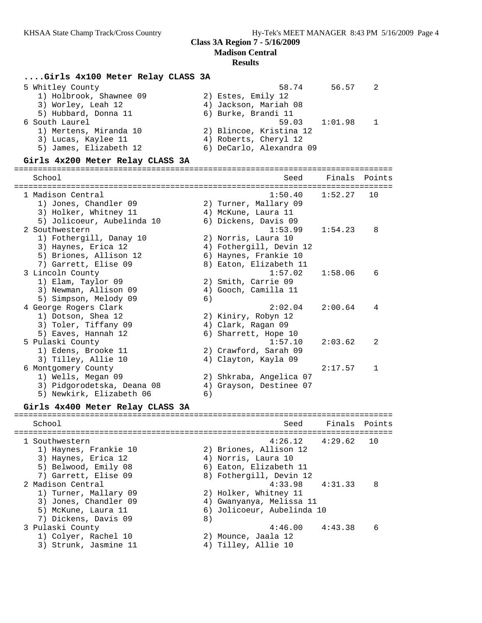#### **Results**

### **....Girls 4x100 Meter Relay CLASS 3A**

| 58.74                    | 56.57 |               |
|--------------------------|-------|---------------|
| 2) Estes, Emily 12       |       |               |
| 4) Jackson, Mariah 08    |       |               |
| 6) Burke, Brandi 11      |       |               |
|                          |       |               |
| 2) Blincoe, Kristina 12  |       |               |
| 4) Roberts, Cheryl 12    |       |               |
| 6) DeCarlo, Alexandra 09 |       |               |
|                          |       | 59.03 1:01.98 |

#### **Girls 4x200 Meter Relay CLASS 3A**

================================================================================ School Seed Finals Points ================================================================================ 1 Madison Central 1:50.40 1:52.27 10 1) Jones, Chandler 09 2) Turner, Mallary 09 3) Holker, Whitney 11 4) McKune, Laura 11 5) Jolicoeur, Aubelinda 10 6) Dickens, Davis 09 2 Southwestern 1:53.99 1:54.23 8 1) Fothergill, Danay 10 2) Norris, Laura 10 3) Haynes, Erica 12 4) Fothergill, Devin 12 5) Briones, Allison 12 6) Haynes, Frankie 10 7) Garrett, Elise 09 8) Eaton, Elizabeth 11 3 Lincoln County 1:57.02 1:58.06 6 1) Elam, Taylor 09 2) Smith, Carrie 09 3) Newman, Allison 09  $\hskip1cm 4)$  Gooch, Camilla 11 5) Simpson, Melody 09 6) 4 George Rogers Clark 2:02.04 2:00.64 4 1) Dotson, Shea 12 2) Kiniry, Robyn 12 3) Toler, Tiffany 09  $\hskip1cm$  4) Clark, Ragan 09 5) Eaves, Hannah 12 (6) Sharrett, Hope 10 5 Pulaski County 1:57.10 2:03.62 2 1) Edens, Brooke 11 2) Crawford, Sarah 09 3) Tilley, Allie 10 (4) Clayton, Kayla 09 6 Montgomery County 2:17.57 1 1) Wells, Megan 09 2) Shkraba, Angelica 07 3) Pidgorodetska, Deana 08 4) Grayson, Destinee 07 5) Newkirk, Elizabeth 06 6)

#### **Girls 4x400 Meter Relay CLASS 3A**

================================================================================ School Seed Finals Points ================================================================================ 1 Southwestern 4:26.12 4:29.62 10 1) Haynes, Frankie 10 2) Briones, Allison 12 3) Haynes, Erica 12 4) Norris, Laura 10 5) Belwood, Emily 08 6) Eaton, Elizabeth 11 7) Garrett, Elise 09 8) Fothergill, Devin 12 2 Madison Central 4:33.98 4:31.33 8 1) Turner, Mallary 09 2) Holker, Whitney 11 3) Jones, Chandler 09 4) Gwanyanya, Melissa 11 5) McKune, Laura 11 6) Jolicoeur, Aubelinda 10 7) Dickens, Davis 09 8) 3 Pulaski County 4:46.00 4:43.38 6 1) Colyer, Rachel 10 2) Mounce, Jaala 12 3) Strunk, Jasmine 11 (4) Tilley, Allie 10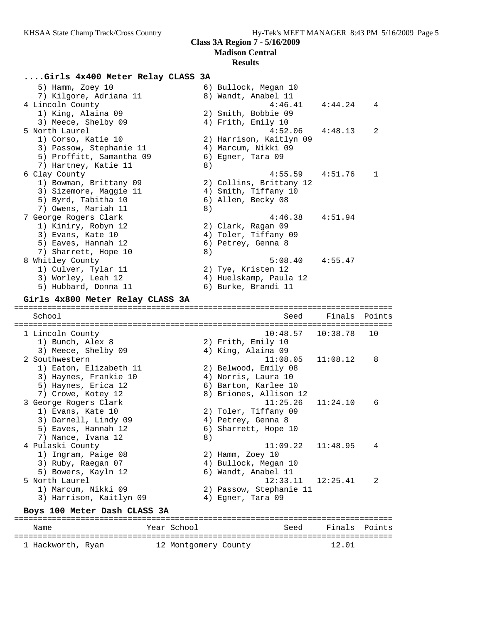# **....Girls 4x400 Meter Relay CLASS 3A**

| 1) Eaton, Elizabeth 11<br>3) Haynes, Frankie 10<br>5) Haynes, Erica 12<br>7) Crowe, Kotey 12<br>3 George Rogers Clark<br>1) Evans, Kate 10<br>3) Darnell, Lindy 09<br>5) Eaves, Hannah 12<br>7) Nance, Ivana 12<br>4 Pulaski County<br>1) Ingram, Paige 08<br>3) Ruby, Raegan 07<br>5) Bowers, Kayln 12<br>5 North Laurel<br>1) Marcum, Nikki 09<br>3) Harrison, Kaitlyn 09<br>Boys 100 Meter Dash CLASS 3A | 8) | 6) Barton, Karlee 10<br>8) Briones, Allison 12<br>11:25.26<br>2) Toler, Tiffany 09<br>4) Petrey, Genna 8<br>6) Sharrett, Hope 10<br>11:09.22<br>2) Hamm, Zoey 10<br>4) Bullock, Megan 10<br>6) Wandt, Anabel 11<br>12:33.11<br>2) Passow, Stephanie 11<br>4) Egner, Tara 09 | 11:24.10<br>11:48.95<br>12:25.41 | 6<br>4<br>2 |
|-------------------------------------------------------------------------------------------------------------------------------------------------------------------------------------------------------------------------------------------------------------------------------------------------------------------------------------------------------------------------------------------------------------|----|-----------------------------------------------------------------------------------------------------------------------------------------------------------------------------------------------------------------------------------------------------------------------------|----------------------------------|-------------|
|                                                                                                                                                                                                                                                                                                                                                                                                             |    |                                                                                                                                                                                                                                                                             |                                  |             |
|                                                                                                                                                                                                                                                                                                                                                                                                             |    |                                                                                                                                                                                                                                                                             |                                  |             |
|                                                                                                                                                                                                                                                                                                                                                                                                             |    |                                                                                                                                                                                                                                                                             |                                  |             |
|                                                                                                                                                                                                                                                                                                                                                                                                             |    |                                                                                                                                                                                                                                                                             |                                  |             |
|                                                                                                                                                                                                                                                                                                                                                                                                             |    |                                                                                                                                                                                                                                                                             |                                  |             |
|                                                                                                                                                                                                                                                                                                                                                                                                             |    |                                                                                                                                                                                                                                                                             |                                  |             |
|                                                                                                                                                                                                                                                                                                                                                                                                             |    |                                                                                                                                                                                                                                                                             |                                  |             |
|                                                                                                                                                                                                                                                                                                                                                                                                             |    |                                                                                                                                                                                                                                                                             |                                  |             |
|                                                                                                                                                                                                                                                                                                                                                                                                             |    |                                                                                                                                                                                                                                                                             |                                  |             |
|                                                                                                                                                                                                                                                                                                                                                                                                             |    |                                                                                                                                                                                                                                                                             |                                  |             |
|                                                                                                                                                                                                                                                                                                                                                                                                             |    |                                                                                                                                                                                                                                                                             |                                  |             |
|                                                                                                                                                                                                                                                                                                                                                                                                             |    |                                                                                                                                                                                                                                                                             |                                  |             |
|                                                                                                                                                                                                                                                                                                                                                                                                             |    |                                                                                                                                                                                                                                                                             |                                  |             |
|                                                                                                                                                                                                                                                                                                                                                                                                             |    |                                                                                                                                                                                                                                                                             |                                  |             |
|                                                                                                                                                                                                                                                                                                                                                                                                             |    |                                                                                                                                                                                                                                                                             |                                  |             |
|                                                                                                                                                                                                                                                                                                                                                                                                             |    |                                                                                                                                                                                                                                                                             |                                  |             |
|                                                                                                                                                                                                                                                                                                                                                                                                             |    | 2) Belwood, Emily 08<br>4) Norris, Laura 10                                                                                                                                                                                                                                 |                                  |             |
|                                                                                                                                                                                                                                                                                                                                                                                                             |    |                                                                                                                                                                                                                                                                             |                                  |             |
| 3) Meece, Shelby 09<br>2 Southwestern                                                                                                                                                                                                                                                                                                                                                                       |    | 4) King, Alaina 09<br>11:08.05                                                                                                                                                                                                                                              | 11:08.12                         | 8           |
| 1) Bunch, Alex 8                                                                                                                                                                                                                                                                                                                                                                                            |    | 2) Frith, Emily 10                                                                                                                                                                                                                                                          |                                  |             |
| 1 Lincoln County                                                                                                                                                                                                                                                                                                                                                                                            |    | 10:48.57                                                                                                                                                                                                                                                                    | 10:38.78                         | 10          |
|                                                                                                                                                                                                                                                                                                                                                                                                             |    |                                                                                                                                                                                                                                                                             |                                  |             |
| School                                                                                                                                                                                                                                                                                                                                                                                                      |    | Seed                                                                                                                                                                                                                                                                        | Finals                           | Points      |
| Girls 4x800 Meter Relay CLASS 3A                                                                                                                                                                                                                                                                                                                                                                            |    |                                                                                                                                                                                                                                                                             |                                  |             |
|                                                                                                                                                                                                                                                                                                                                                                                                             |    |                                                                                                                                                                                                                                                                             |                                  |             |
| 5) Hubbard, Donna 11                                                                                                                                                                                                                                                                                                                                                                                        |    | 6) Burke, Brandi 11                                                                                                                                                                                                                                                         |                                  |             |
| 3) Worley, Leah 12                                                                                                                                                                                                                                                                                                                                                                                          |    | 4) Huelskamp, Paula 12                                                                                                                                                                                                                                                      |                                  |             |
| 1) Culver, Tylar 11                                                                                                                                                                                                                                                                                                                                                                                         |    | 2) Tye, Kristen 12                                                                                                                                                                                                                                                          |                                  |             |
| 8 Whitley County                                                                                                                                                                                                                                                                                                                                                                                            |    | 5:08.40                                                                                                                                                                                                                                                                     | 4:55.47                          |             |
| 5) Eaves, Hannah 12<br>7) Sharrett, Hope 10                                                                                                                                                                                                                                                                                                                                                                 | 8) | 6) Petrey, Genna 8                                                                                                                                                                                                                                                          |                                  |             |
| 3) Evans, Kate 10                                                                                                                                                                                                                                                                                                                                                                                           |    | 4) Toler, Tiffany 09                                                                                                                                                                                                                                                        |                                  |             |
| 1) Kiniry, Robyn 12                                                                                                                                                                                                                                                                                                                                                                                         |    | 2) Clark, Ragan 09                                                                                                                                                                                                                                                          |                                  |             |
| 7 George Rogers Clark                                                                                                                                                                                                                                                                                                                                                                                       |    | 4:46.38                                                                                                                                                                                                                                                                     | 4:51.94                          |             |
| 7) Owens, Mariah 11                                                                                                                                                                                                                                                                                                                                                                                         | 8) |                                                                                                                                                                                                                                                                             |                                  |             |
| 5) Byrd, Tabitha 10                                                                                                                                                                                                                                                                                                                                                                                         |    | 6) Allen, Becky 08                                                                                                                                                                                                                                                          |                                  |             |
| 3) Sizemore, Maggie 11                                                                                                                                                                                                                                                                                                                                                                                      |    | 4) Smith, Tiffany 10                                                                                                                                                                                                                                                        |                                  |             |
| 1) Bowman, Brittany 09                                                                                                                                                                                                                                                                                                                                                                                      |    | 2) Collins, Brittany 12                                                                                                                                                                                                                                                     |                                  |             |
| 6 Clay County                                                                                                                                                                                                                                                                                                                                                                                               |    | 4:55.59                                                                                                                                                                                                                                                                     | 4:51.76                          | 1           |
| 7) Hartney, Katie 11                                                                                                                                                                                                                                                                                                                                                                                        | 8) |                                                                                                                                                                                                                                                                             |                                  |             |
| 5) Proffitt, Samantha 09                                                                                                                                                                                                                                                                                                                                                                                    |    | 6) Egner, Tara 09                                                                                                                                                                                                                                                           |                                  |             |
| 3) Passow, Stephanie 11                                                                                                                                                                                                                                                                                                                                                                                     |    | 4) Marcum, Nikki 09                                                                                                                                                                                                                                                         |                                  |             |
| 1) Corso, Katie 10                                                                                                                                                                                                                                                                                                                                                                                          |    | 2) Harrison, Kaitlyn 09                                                                                                                                                                                                                                                     |                                  |             |
| 5 North Laurel                                                                                                                                                                                                                                                                                                                                                                                              |    | 4:52.06                                                                                                                                                                                                                                                                     | 4:48.13                          | 2           |
| 3) Meece, Shelby 09                                                                                                                                                                                                                                                                                                                                                                                         |    | 4) Frith, Emily 10                                                                                                                                                                                                                                                          |                                  |             |
|                                                                                                                                                                                                                                                                                                                                                                                                             |    | 2) Smith, Bobbie 09                                                                                                                                                                                                                                                         |                                  |             |
| 1) King, Alaina 09                                                                                                                                                                                                                                                                                                                                                                                          |    | 4:46.41                                                                                                                                                                                                                                                                     | 4:44.24                          | 4           |
| 4 Lincoln County                                                                                                                                                                                                                                                                                                                                                                                            |    | 8) Wandt, Anabel 11                                                                                                                                                                                                                                                         |                                  |             |
| 5) Hamm, Zoey 10<br>7) Kilgore, Adriana 11                                                                                                                                                                                                                                                                                                                                                                  |    | 6) Bullock, Megan 10                                                                                                                                                                                                                                                        |                                  |             |

================================================================================

1 Hackworth, Ryan 12 Montgomery County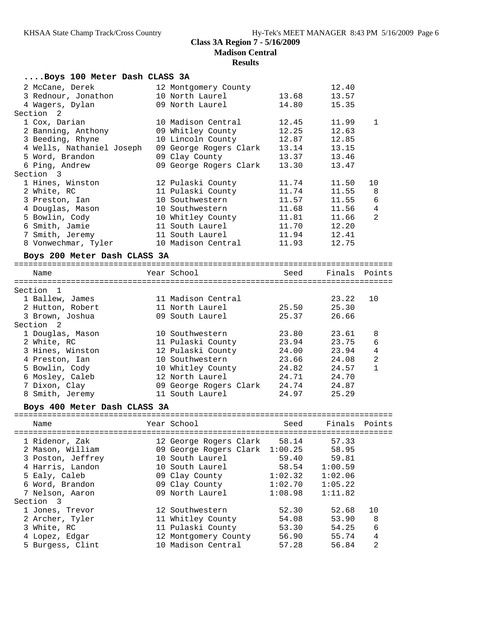| Boys 100 Meter Dash CLASS 3A      |                                                  |                    |                    |                |
|-----------------------------------|--------------------------------------------------|--------------------|--------------------|----------------|
| 2 McCane, Derek                   | 12 Montgomery County                             |                    | 12.40              |                |
| 3 Rednour, Jonathon               | 10 North Laurel                                  | 13.68              | 13.57              |                |
| 4 Wagers, Dylan                   | 09 North Laurel                                  | 14.80              | 15.35              |                |
| Section 2                         |                                                  |                    |                    |                |
| 1 Cox, Darian                     | 10 Madison Central                               | 12.45              | 11.99              | $\mathbf{1}$   |
| 2 Banning, Anthony                | 09 Whitley County                                | 12.25              | 12.63              |                |
| 3 Beeding, Rhyne                  | 10 Lincoln County                                | 12.87              | 12.85              |                |
| 4 Wells, Nathaniel Joseph         | 09 George Rogers Clark                           | 13.14              | 13.15              |                |
| 5 Word, Brandon                   | 09 Clay County                                   | 13.37              | 13.46              |                |
| 6 Ping, Andrew                    | 09 George Rogers Clark                           | 13.30              | 13.47              |                |
| Section 3                         |                                                  |                    |                    |                |
| 1 Hines, Winston                  | 12 Pulaski County                                | 11.74              | 11.50              | 10             |
| 2 White, RC                       | 11 Pulaski County                                | 11.74              | 11.55              | 8              |
| 3 Preston, Ian                    | 10 Southwestern                                  | 11.57              | 11.55              | 6              |
| 4 Douglas, Mason                  | 10 Southwestern                                  | 11.68              | 11.56              | 4              |
| 5 Bowlin, Cody                    | 10 Whitley County                                | 11.81              | 11.66              | 2              |
| 6 Smith, Jamie<br>7 Smith, Jeremy | 11 South Laurel<br>11 South Laurel               | 11.70              | 12.20              |                |
|                                   | 10 Madison Central                               | 11.94<br>11.93     | 12.41<br>12.75     |                |
| 8 Vonwechmar, Tyler               |                                                  |                    |                    |                |
| Boys 200 Meter Dash CLASS 3A      |                                                  |                    |                    |                |
| Name                              | Year School                                      |                    | Seed Finals Points |                |
|                                   |                                                  |                    |                    |                |
| Section 1                         |                                                  |                    |                    |                |
| 1 Ballew, James                   | 11 Madison Central                               |                    | 23.22              | 10             |
| 2 Hutton, Robert                  | 11 North Laurel                                  | 25.50              | 25.30              |                |
| 3 Brown, Joshua                   | 09 South Laurel                                  | 25.37              | 26.66              |                |
| Section 2                         |                                                  |                    |                    |                |
| 1 Douglas, Mason                  | 10 Southwestern                                  | 23.80              | 23.61              | 8              |
| 2 White, RC                       | 11 Pulaski County                                | 23.94              | 23.75              | 6              |
| 3 Hines, Winston                  | 12 Pulaski County                                | 24.00              | 23.94              | $\overline{4}$ |
| 4 Preston, Ian                    | 10 Southwestern                                  | 23.66              | 24.08              | $\overline{c}$ |
| 5 Bowlin, Cody                    | 10 Whitley County                                | 24.82              | 24.57              | $\mathbf{1}$   |
| 6 Mosley, Caleb                   | 12 North Laurel                                  | 24.71              | 24.70              |                |
| 7 Dixon, Clay                     | 09 George Rogers Clark 24.74                     |                    | 24.87              |                |
| 8 Smith, Jeremy                   | 11 South Laurel                                  | 24.97              | 25.29              |                |
| Boys 400 Meter Dash CLASS 3A      |                                                  |                    |                    |                |
| Name                              | Year School                                      | Seed Finals Points |                    |                |
| 1 Ridenor, Zak                    |                                                  | 58.14              | 57.33              |                |
| 2 Mason, William                  | 12 George Rogers Clark<br>09 George Rogers Clark | 1:00.25            | 58.95              |                |
| 3 Poston, Jeffrey                 | 10 South Laurel                                  | 59.40              | 59.81              |                |
| 4 Harris, Landon                  | 10 South Laurel                                  | 58.54              | 1:00.59            |                |
| 5 Ealy, Caleb                     | 09 Clay County                                   | 1:02.32            | 1:02.06            |                |
| 6 Word, Brandon                   | 09 Clay County                                   | 1:02.70            | 1:05.22            |                |
| 7 Nelson, Aaron                   | 09 North Laurel                                  | 1:08.98            | 1:11.82            |                |
| Section 3                         |                                                  |                    |                    |                |
| 1 Jones, Trevor                   | 12 Southwestern                                  | 52.30              | 52.68              | 10             |
| 2 Archer, Tyler                   | 11 Whitley County                                | 54.08              | 53.90              | 8              |
| 3 White, RC                       | 11 Pulaski County                                | 53.30              | 54.25              | 6              |
| 4 Lopez, Edgar                    | 12 Montgomery County                             | 56.90              | 55.74              | $\,4$          |
| 5 Burgess, Clint                  | 10 Madison Central                               | 57.28              | 56.84              | $\overline{2}$ |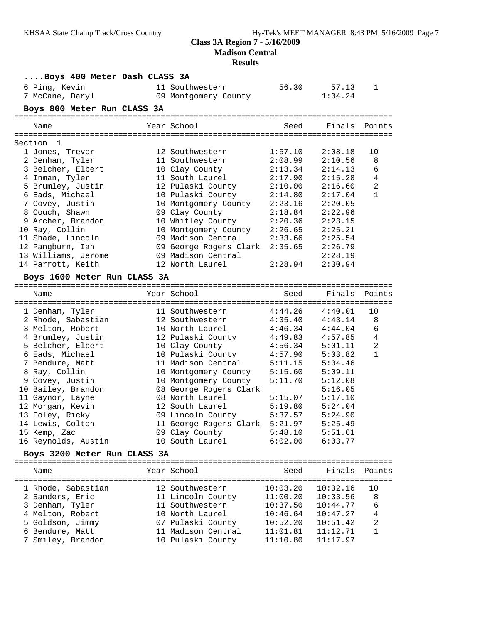# **Madison Central**

| Boys 400 Meter Dash CLASS 3A |                                                          |          |                     |                |
|------------------------------|----------------------------------------------------------|----------|---------------------|----------------|
| 6 Ping, Kevin                | 11 Southwestern                                          | 56.30    | 57.13               | 1              |
| 7 McCane, Daryl              | 09 Montgomery County                                     |          | 1:04.24             |                |
| Boys 800 Meter Run CLASS 3A  |                                                          |          |                     |                |
|                              |                                                          |          |                     |                |
| Name                         | Year School                                              | Seed     | Finals              | Points         |
|                              |                                                          |          |                     |                |
| Section 1                    |                                                          |          |                     |                |
| 1 Jones, Trevor              | 12 Southwestern                                          | 1:57.10  | 2:08.18             | 10             |
| 2 Denham, Tyler              | 11 Southwestern                                          | 2:08.99  | 2:10.56             | 8              |
| 3 Belcher, Elbert            | 10 Clay County                                           | 2:13.34  | 2:14.13             | 6              |
| 4 Inman, Tyler               | 11 South Laurel                                          | 2:17.90  | 2:15.28             | 4              |
| 5 Brumley, Justin            | 12 Pulaski County                                        | 2:10.00  | 2:16.60             | $\overline{a}$ |
| 6 Eads, Michael              | 10 Pulaski County                                        | 2:14.80  | 2:17.04             | $\mathbf{1}$   |
| 7 Covey, Justin              | 10 Montgomery County                                     | 2:23.16  | 2:20.05             |                |
| 8 Couch, Shawn               | 09 Clay County                                           | 2:18.84  | 2:22.96             |                |
| 9 Archer, Brandon            | 10 Whitley County                                        | 2:20.36  | 2:23.15             |                |
| 10 Ray, Collin               | 10 Montgomery County                                     | 2:26.65  | 2:25.21             |                |
| 11 Shade, Lincoln            | 09 Madison Central                                       | 2:33.66  | 2:25.54             |                |
| 12 Pangburn, Ian             | 09 George Rogers Clark 2:35.65                           |          | 2:26.79             |                |
| 13 Williams, Jerome          | 09 Madison Central                                       |          | 2:28.19             |                |
| 14 Parrott, Keith            | 12 North Laurel                                          | 2:28.94  | 2:30.94             |                |
| Boys 1600 Meter Run CLASS 3A |                                                          |          |                     |                |
|                              |                                                          |          |                     |                |
| Name                         | Year School                                              | Seed     | Finals              | Points         |
| 1 Denham, Tyler              | 11 Southwestern                                          | 4:44.26  | 4:40.01             | 10             |
| 2 Rhode, Sabastian           | 12 Southwestern                                          | 4:35.40  | 4:43.14             | 8              |
| 3 Melton, Robert             | 10 North Laurel                                          |          | $4:46.34$ $4:44.04$ | 6              |
| 4 Brumley, Justin            | 12 Pulaski County                                        | 4:49.83  | 4:57.85             | $\overline{4}$ |
| 5 Belcher, Elbert            | 10 Clay County                                           | 4:56.34  | 5:01.11             | $\overline{a}$ |
| 6 Eads, Michael              | 10 Pulaski County                                        | 4:57.90  | 5:03.82             | $\mathbf{1}$   |
| 7 Bendure, Matt              | 11 Madison Central                                       | 5:11.15  | 5:04.46             |                |
| 8 Ray, Collin                | 10 Montgomery County                                     | 5:15.60  | 5:09.11             |                |
| 9 Covey, Justin              | 10 Montgomery County                                     | 5:11.70  | 5:12.08             |                |
| 10 Bailey, Brandon           | 08 George Rogers Clark                                   |          | 5:16.05             |                |
| 11 Gaynor, Layne             | 08 North Laurel                                          | 5:15.07  | 5:17.10             |                |
| 12 Morgan, Kevin             | 12 South Laurel                                          | 5:19.80  | 5:24.04             |                |
| 13 Foley, Ricky              | 09 Lincoln County                                        | 5:37.57  | 5:24.90             |                |
| 14 Lewis, Colton             |                                                          |          | 5:25.49             |                |
|                              | 11 George Rogers Clark 5:21.97<br>09 Clay County 5:48.10 |          | 5:51.61             |                |
| 15 Kemp, Zac                 | 10 South Laurel                                          |          | $6:02.00$ $6:03.77$ |                |
| 16 Reynolds, Austin          |                                                          |          |                     |                |
| Boys 3200 Meter Run CLASS 3A |                                                          |          |                     |                |
| Name                         | Year School                                              | Seed     | Finals              | Points         |
|                              |                                                          |          |                     |                |
| 1 Rhode, Sabastian           | 12 Southwestern                                          | 10:03.20 | 10:32.16            | 10             |
| 2 Sanders, Eric              | 11 Lincoln County                                        | 11:00.20 | 10:33.56            | 8              |
| 3 Denham, Tyler              | 11 Southwestern                                          | 10:37.50 | 10:44.77            | 6              |
| 4 Melton, Robert             | 10 North Laurel                                          | 10:46.64 | 10:47.27            | 4              |
| 5 Goldson, Jimmy             | 07 Pulaski County                                        | 10:52.20 | 10:51.42            | 2              |
| 6 Bendure, Matt              | 11 Madison Central                                       | 11:01.81 | 11:12.71            | 1              |
| 7 Smiley, Brandon            | 10 Pulaski County                                        | 11:10.80 | 11:17.97            |                |
|                              |                                                          |          |                     |                |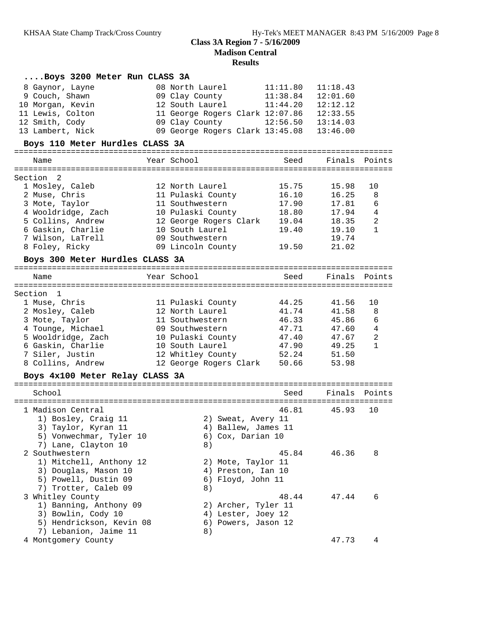| Boys 3200 Meter Run CLASS 3A    |                                 |          |               |                |
|---------------------------------|---------------------------------|----------|---------------|----------------|
| 8 Gaynor, Layne                 | 08 North Laurel                 | 11:11.80 | 11:18.43      |                |
| 9 Couch, Shawn                  | 09 Clay County                  | 11:38.84 | 12:01.60      |                |
| 10 Morgan, Kevin                | 12 South Laurel                 | 11:44.20 | 12:12.12      |                |
| 11 Lewis, Colton                | 11 George Rogers Clark 12:07.86 |          | 12:33.55      |                |
| 12 Smith, Cody                  | 09 Clay County                  | 12:56.50 | 13:14.03      |                |
| 13 Lambert, Nick                | 09 George Rogers Clark 13:45.08 |          | 13:46.00      |                |
|                                 |                                 |          |               |                |
| Boys 110 Meter Hurdles CLASS 3A |                                 |          |               |                |
| Name                            | Year School                     | Seed     | Finals Points |                |
|                                 |                                 |          |               |                |
| Section 2                       |                                 |          |               |                |
| 1 Mosley, Caleb                 | 12 North Laurel                 | 15.75    | 15.98         | 10             |
| 2 Muse, Chris                   | 11 Pulaski County               | 16.10    | 16.25         | 8              |
| 3 Mote, Taylor                  | 11 Southwestern                 | 17.90    | 17.81         | 6              |
| 4 Wooldridge, Zach              | 10 Pulaski County               | 18.80    | 17.94         | 4              |
| 5 Collins, Andrew               | 12 George Rogers Clark 19.04    |          | 18.35         | $\overline{a}$ |
| 6 Gaskin, Charlie               | 10 South Laurel                 | 19.40    | 19.10         | 1              |
| 7 Wilson, LaTrell               | 09 Southwestern                 |          | 19.74         |                |
| 8 Foley, Ricky                  | 09 Lincoln County               | 19.50    | 21.02         |                |
| Boys 300 Meter Hurdles CLASS 3A |                                 |          |               |                |
|                                 |                                 |          |               |                |
| Name                            | Year School                     | Seed     | Finals        | Points         |
|                                 |                                 |          |               |                |
| Section 1                       |                                 |          |               |                |
| 1 Muse, Chris                   | 11 Pulaski County               | 44.25    | 41.56         | 10             |
| 2 Mosley, Caleb                 | 12 North Laurel                 | 41.74    | 41.58         | 8              |
| 3 Mote, Taylor                  | 11 Southwestern                 | 46.33    | 45.86         | 6              |
| 4 Tounge, Michael               | 09 Southwestern                 | 47.71    | 47.60         | 4              |
| 5 Wooldridge, Zach              | 10 Pulaski County               | 47.40    | 47.67         | $\overline{a}$ |
| 6 Gaskin, Charlie               | 10 South Laurel                 | 47.90    | 49.25         | $\mathbf{1}$   |
| 7 Siler, Justin                 | 12 Whitley County               | 52.24    | 51.50         |                |
| 8 Collins, Andrew               | 12 George Rogers Clark 50.66    |          | 53.98         |                |
| Boys 4x100 Meter Relay CLASS 3A |                                 |          |               |                |
|                                 |                                 |          |               |                |
| School                          |                                 | Seed     | Finals Points |                |
| 1 Madison Central               |                                 | 46.81    | 45.93         | 10             |
| 1) Bosley, Craig 11             | 2) Sweat, Avery 11              |          |               |                |
| 3) Taylor, Kyran 11             | 4) Ballew, James 11             |          |               |                |
| 5) Vonwechmar, Tyler 10         | 6) Cox, Darian 10               |          |               |                |
| 7) Lane, Clayton 10             | 8)                              |          |               |                |
| 2 Southwestern                  |                                 | 45.84    | 46.36         | 8              |
| 1) Mitchell, Anthony 12         | 2) Mote, Taylor 11              |          |               |                |
| 3) Douglas, Mason 10            | 4) Preston, Ian 10              |          |               |                |
| 5) Powell, Dustin 09            | 6) Floyd, John 11               |          |               |                |
| 7) Trotter, Caleb 09            | 8)                              |          |               |                |
| 3 Whitley County                |                                 | 48.44    | 47.44         | 6              |
| 1) Banning, Anthony 09          | 2) Archer, Tyler 11             |          |               |                |
| 3) Bowlin, Cody 10              | 4) Lester, Joey 12              |          |               |                |
| 5) Hendrickson, Kevin 08        | 6) Powers, Jason 12             |          |               |                |
| 7) Lebanion, Jaime 11           | 8)                              |          |               |                |
| 4 Montgomery County             |                                 |          | 47.73         | 4              |
|                                 |                                 |          |               |                |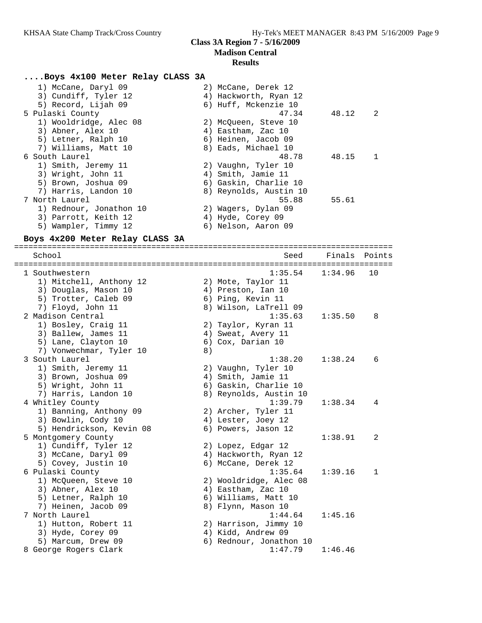#### **Results**

#### **....Boys 4x100 Meter Relay CLASS 3A**

| 1) McCane, Daryl 09     | 2) McCane, Derek 12    |       |                |
|-------------------------|------------------------|-------|----------------|
| 3) Cundiff, Tyler 12    | 4) Hackworth, Ryan 12  |       |                |
| 5) Record, Lijah 09     | 6) Huff, Mckenzie 10   |       |                |
| 5 Pulaski County        | 47.34                  | 48.12 | $\overline{2}$ |
| 1) Wooldridge, Alec 08  | 2) McOueen, Steve 10   |       |                |
| 3) Abner, Alex 10       | 4) Eastham, Zac 10     |       |                |
| 5) Letner, Ralph 10     | 6) Heinen, Jacob 09    |       |                |
| 7) Williams, Matt 10    | 8) Eads, Michael 10    |       |                |
| 6 South Laurel          | 48.78                  | 48.15 | $\mathbf{1}$   |
| 1) Smith, Jeremy 11     | 2) Vaughn, Tyler 10    |       |                |
| 3) Wright, John 11      | 4) Smith, Jamie 11     |       |                |
| 5) Brown, Joshua 09     | 6) Gaskin, Charlie 10  |       |                |
| 7) Harris, Landon 10    | 8) Reynolds, Austin 10 |       |                |
| 7 North Laurel          | 55.88                  | 55.61 |                |
| 1) Rednour, Jonathon 10 | 2) Wagers, Dylan 09    |       |                |
| 3) Parrott, Keith 12    | 4) Hyde, Corey 09      |       |                |
| 5) Wampler, Timmy 12    | 6) Nelson, Aaron 09    |       |                |
|                         |                        |       |                |

#### **Boys 4x200 Meter Relay CLASS 3A**

================================================================================ School Seed Finals Points ================================================================================ 1 Southwestern 1:35.54 1:34.96 10 1) Mitchell, Anthony 12 2) Mote, Taylor 11 3) Douglas, Mason 10 (4) Preston, Ian 10 5) Trotter, Caleb 09 6) Ping, Kevin 11 7) Floyd, John 11 8) Wilson, LaTrell 09 2 Madison Central 1:35.63 1:35.50 8 1) Bosley, Craig 11 2) Taylor, Kyran 11 3) Ballew, James 11 4) Sweat, Avery 11 5) Lane, Clayton 10 (6) Cox, Darian 10 7) Vonwechmar, Tyler 10 (8) 3 South Laurel 1:38.20 1:38.24 6 1) Smith, Jeremy 11 2) Vaughn, Tyler 10 3) Brown, Joshua 09 4) Smith, Jamie 11 5) Wright, John 11 6) Gaskin, Charlie 10 7) Harris, Landon 10 8) Reynolds, Austin 10 4 Whitley County 1:39.79 1:38.34 4 1) Banning, Anthony 09 2) Archer, Tyler 11 3) Bowlin, Cody 10 (4) Lester, Joey 12 5) Hendrickson, Kevin 08 6) Powers, Jason 12 5 Montgomery County 1:38.91 2 1) Cundiff, Tyler 12 2) Lopez, Edgar 12 3) McCane, Daryl 09 4) Hackworth, Ryan 12 5) Covey, Justin 10 6) McCane, Derek 12 6 Pulaski County 1:35.64 1:39.16 1 1) McQueen, Steve 10 2) Wooldridge, Alec 08 3) Abner, Alex 10 4) Eastham, Zac 10 5) Letner, Ralph 10 6) Williams, Matt 10 7) Heinen, Jacob 09 8) Flynn, Mason 10 7 North Laurel 1:44.64 1:45.16 1) Hutton, Robert 11 2) Harrison, Jimmy 10 3) Hyde, Corey 09 (4) Kidd, Andrew 09 5) Marcum, Drew 09 6) Rednour, Jonathon 10 8 George Rogers Clark 1:47.79 1:46.46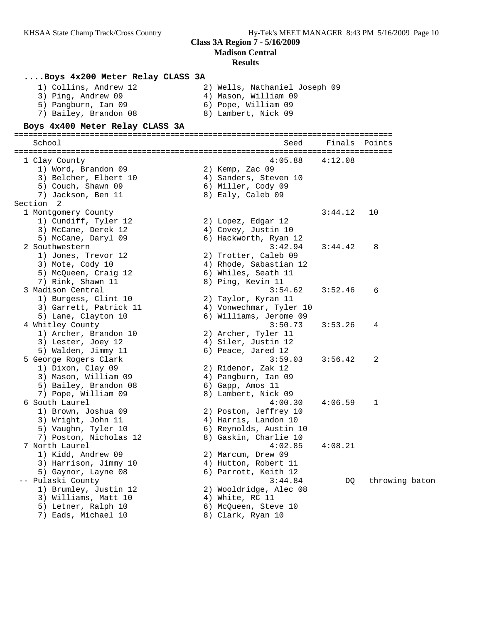**Madison Central**

|           | Boys 4x200 Meter Relay CLASS 3A<br>1) Collins, Andrew 12<br>3) Ping, Andrew 09<br>5) Pangburn, Ian 09<br>7) Bailey, Brandon 08<br>Boys 4x400 Meter Relay CLASS 3A | 2) Wells, Nathaniel Joseph 09<br>4) Mason, William 09<br>6) Pope, William 09<br>8) Lambert, Nick 09 |         |                |
|-----------|-------------------------------------------------------------------------------------------------------------------------------------------------------------------|-----------------------------------------------------------------------------------------------------|---------|----------------|
| School    |                                                                                                                                                                   | Seed<br>================================                                                            | Finals  | Points         |
|           | 1 Clay County                                                                                                                                                     | 4:05.88                                                                                             | 4:12.08 |                |
|           | 1) Word, Brandon 09                                                                                                                                               | 2) Kemp, Zac 09                                                                                     |         |                |
|           | 3) Belcher, Elbert 10                                                                                                                                             | 4) Sanders, Steven 10                                                                               |         |                |
|           | 5) Couch, Shawn 09                                                                                                                                                | 6) Miller, Cody 09                                                                                  |         |                |
|           | 7) Jackson, Ben 11                                                                                                                                                | 8) Ealy, Caleb 09                                                                                   |         |                |
| Section 2 |                                                                                                                                                                   |                                                                                                     |         |                |
|           | 1 Montgomery County                                                                                                                                               |                                                                                                     | 3:44.12 | 10             |
|           | 1) Cundiff, Tyler 12                                                                                                                                              | 2) Lopez, Edgar 12                                                                                  |         |                |
|           | 3) McCane, Derek 12                                                                                                                                               | 4) Covey, Justin 10                                                                                 |         |                |
|           | 5) McCane, Daryl 09                                                                                                                                               | 6) Hackworth, Ryan 12                                                                               |         |                |
|           | 2 Southwestern                                                                                                                                                    | 3:42.94                                                                                             | 3:44.42 | 8              |
|           | 1) Jones, Trevor 12                                                                                                                                               | 2) Trotter, Caleb 09                                                                                |         |                |
|           | 3) Mote, Cody 10                                                                                                                                                  | 4) Rhode, Sabastian 12                                                                              |         |                |
|           | 5) McQueen, Craig 12<br>7) Rink, Shawn 11                                                                                                                         | 6) Whiles, Seath 11<br>8) Ping, Kevin 11                                                            |         |                |
|           | 3 Madison Central                                                                                                                                                 | 3:54.62                                                                                             | 3:52.46 | 6              |
|           | 1) Burgess, Clint 10                                                                                                                                              | 2) Taylor, Kyran 11                                                                                 |         |                |
|           | 3) Garrett, Patrick 11                                                                                                                                            | 4) Vonwechmar, Tyler 10                                                                             |         |                |
|           | 5) Lane, Clayton 10                                                                                                                                               | 6) Williams, Jerome 09                                                                              |         |                |
|           | 4 Whitley County                                                                                                                                                  | 3:50.73                                                                                             | 3:53.26 | 4              |
|           | 1) Archer, Brandon 10                                                                                                                                             | 2) Archer, Tyler 11                                                                                 |         |                |
|           | 3) Lester, Joey 12                                                                                                                                                | 4) Siler, Justin 12                                                                                 |         |                |
|           | 5) Walden, Jimmy 11                                                                                                                                               | 6) Peace, Jared 12                                                                                  |         |                |
|           | 5 George Rogers Clark                                                                                                                                             | 3:59.03                                                                                             | 3:56.42 | 2              |
|           | 1) Dixon, Clay 09                                                                                                                                                 | 2) Ridenor, Zak 12                                                                                  |         |                |
|           | 3) Mason, William 09                                                                                                                                              | 4) Pangburn, Ian 09                                                                                 |         |                |
|           | 5) Bailey, Brandon 08                                                                                                                                             | 6) Gapp, Amos 11                                                                                    |         |                |
|           | 7) Pope, William 09                                                                                                                                               | 8) Lambert, Nick 09                                                                                 |         |                |
|           | 6 South Laurel                                                                                                                                                    | 4:00.30                                                                                             | 4:06.59 | 1              |
|           | 1) Brown, Joshua 09                                                                                                                                               | 2) Poston, Jeffrey 10                                                                               |         |                |
|           | 3) Wright, John 11                                                                                                                                                | 4) Harris, Landon 10                                                                                |         |                |
|           | 5) Vaughn, Tyler 10                                                                                                                                               | 6) Reynolds, Austin 10                                                                              |         |                |
|           | 7) Poston, Nicholas 12                                                                                                                                            | 8) Gaskin, Charlie 10                                                                               |         |                |
|           | 7 North Laurel                                                                                                                                                    | 4:02.85                                                                                             | 4:08.21 |                |
|           | 1) Kidd, Andrew 09                                                                                                                                                | 2) Marcum, Drew 09                                                                                  |         |                |
|           | 3) Harrison, Jimmy 10                                                                                                                                             | 4) Hutton, Robert 11                                                                                |         |                |
|           | 5) Gaynor, Layne 08<br>-- Pulaski County                                                                                                                          | 6) Parrott, Keith 12<br>3:44.84                                                                     |         | throwing baton |
|           | 1) Brumley, Justin 12                                                                                                                                             | 2) Wooldridge, Alec 08                                                                              | DQ      |                |
|           | 3) Williams, Matt 10                                                                                                                                              | 4) White, RC 11                                                                                     |         |                |
|           | 5) Letner, Ralph 10                                                                                                                                               | 6) McQueen, Steve 10                                                                                |         |                |
|           | 7) Eads, Michael 10                                                                                                                                               | 8) Clark, Ryan 10                                                                                   |         |                |